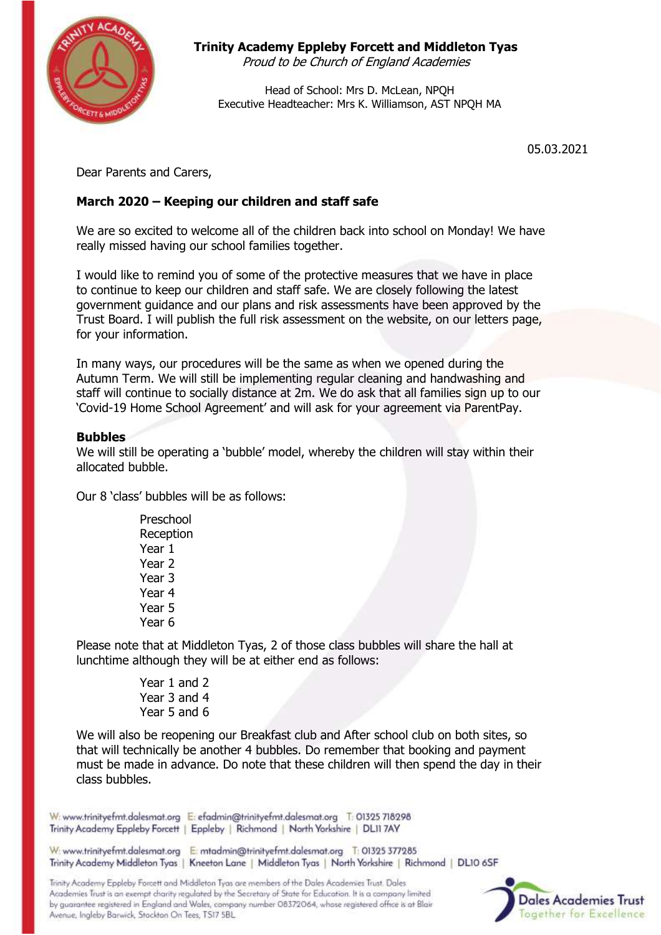

# **Trinity Academy Eppleby Forcett and Middleton Tyas**

Proud to be Church of England Academies

Head of School: Mrs D. McLean, NPQH Executive Headteacher: Mrs K. Williamson, AST NPQH MA

05.03.2021

Dear Parents and Carers,

# **March 2020 – Keeping our children and staff safe**

We are so excited to welcome all of the children back into school on Monday! We have really missed having our school families together.

I would like to remind you of some of the protective measures that we have in place to continue to keep our children and staff safe. We are closely following the latest government guidance and our plans and risk assessments have been approved by the Trust Board. I will publish the full risk assessment on the website, on our letters page, for your information.

In many ways, our procedures will be the same as when we opened during the Autumn Term. We will still be implementing regular cleaning and handwashing and staff will continue to socially distance at 2m. We do ask that all families sign up to our 'Covid-19 Home School Agreement' and will ask for your agreement via ParentPay.

## **Bubbles**

We will still be operating a 'bubble' model, whereby the children will stay within their allocated bubble.

Our 8 'class' bubbles will be as follows:

Preschool Reception Year 1 Year 2 Year 3 Year 4 Year 5 Year 6

Please note that at Middleton Tyas, 2 of those class bubbles will share the hall at lunchtime although they will be at either end as follows:

> Year 1 and 2 Year 3 and 4 Year 5 and 6

We will also be reopening our Breakfast club and After school club on both sites, so that will technically be another 4 bubbles. Do remember that booking and payment must be made in advance. Do note that these children will then spend the day in their class bubbles.

W: www.trinityefmt.dalesmat.org E: efadmin@trinityefmt.dalesmat.org T: 01325 718298 Trinity Academy Eppleby Forcett | Eppleby | Richmond | North Yorkshire | DL11 7AY

W: www.trinityefmt.dalesmat.org E: mtadmin@trinityefmt.dalesmat.org T: 01325 377285 Trinity Academy Middleton Tyas | Kneeton Lane | Middleton Tyas | North Yorkshire | Richmond | DL10 6SF

Trinity Academy Eppleby Forcett and Middleton Tyas are members of the Dales Academies Trust. Dales Academies Trust is an exempt charity regulated by the Secretary of State for Education. It is a company limited by guarantee registered in England and Wales, company number 08372064, whose registered office is at Blair Avenue, Ingleby Barwick, Stockton On Tees, TS17 5BL

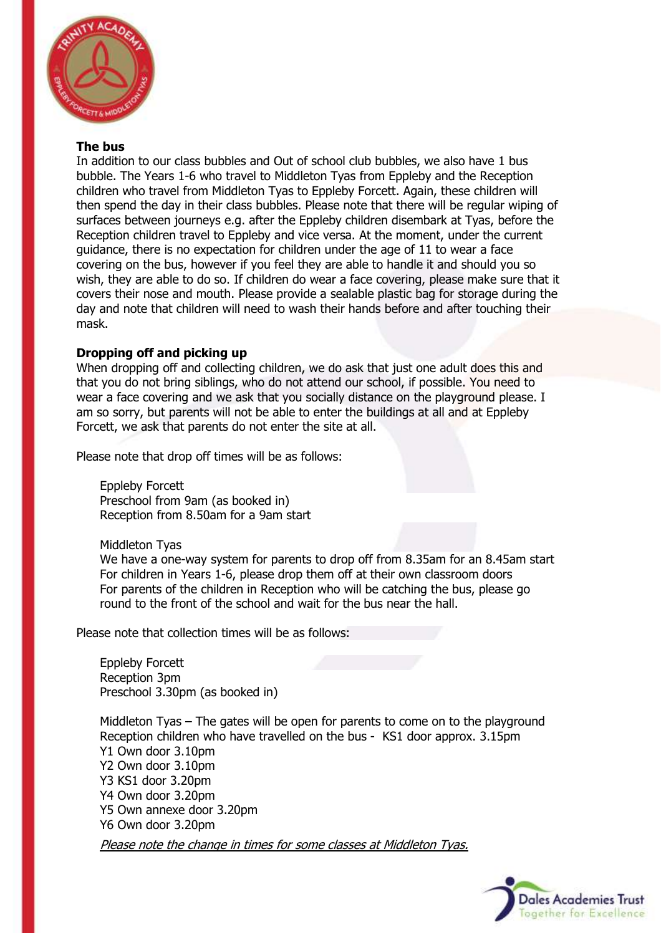

#### **The bus**

In addition to our class bubbles and Out of school club bubbles, we also have 1 bus bubble. The Years 1-6 who travel to Middleton Tyas from Eppleby and the Reception children who travel from Middleton Tyas to Eppleby Forcett. Again, these children will then spend the day in their class bubbles. Please note that there will be regular wiping of surfaces between journeys e.g. after the Eppleby children disembark at Tyas, before the Reception children travel to Eppleby and vice versa. At the moment, under the current guidance, there is no expectation for children under the age of 11 to wear a face covering on the bus, however if you feel they are able to handle it and should you so wish, they are able to do so. If children do wear a face covering, please make sure that it covers their nose and mouth. Please provide a sealable plastic bag for storage during the day and note that children will need to wash their hands before and after touching their mask.

## **Dropping off and picking up**

When dropping off and collecting children, we do ask that just one adult does this and that you do not bring siblings, who do not attend our school, if possible. You need to wear a face covering and we ask that you socially distance on the playground please. I am so sorry, but parents will not be able to enter the buildings at all and at Eppleby Forcett, we ask that parents do not enter the site at all.

Please note that drop off times will be as follows:

Eppleby Forcett Preschool from 9am (as booked in) Reception from 8.50am for a 9am start

Middleton Tyas

We have a one-way system for parents to drop off from 8.35am for an 8.45am start For children in Years 1-6, please drop them off at their own classroom doors For parents of the children in Reception who will be catching the bus, please go round to the front of the school and wait for the bus near the hall.

Please note that collection times will be as follows:

Eppleby Forcett Reception 3pm Preschool 3.30pm (as booked in)

Middleton Tyas – The gates will be open for parents to come on to the playground Reception children who have travelled on the bus - KS1 door approx. 3.15pm Y1 Own door 3.10pm Y2 Own door 3.10pm Y3 KS1 door 3.20pm Y4 Own door 3.20pm Y5 Own annexe door 3.20pm Y6 Own door 3.20pm

Please note the change in times for some classes at Middleton Tyas.